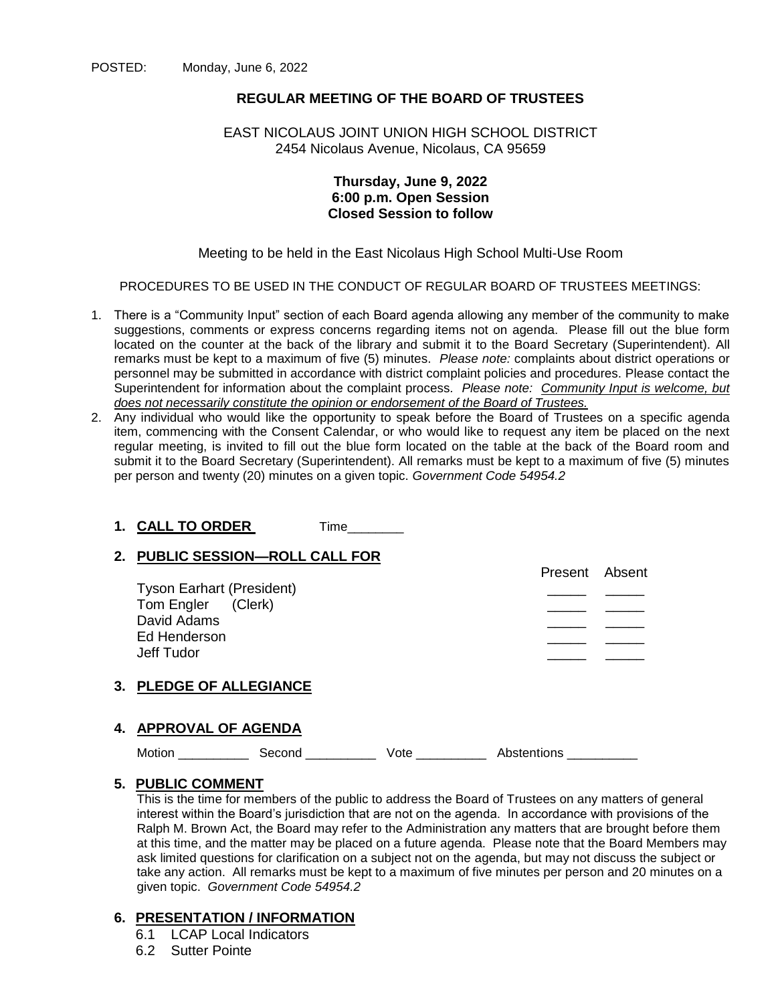## **REGULAR MEETING OF THE BOARD OF TRUSTEES**

## EAST NICOLAUS JOINT UNION HIGH SCHOOL DISTRICT 2454 Nicolaus Avenue, Nicolaus, CA 95659

## **Thursday, June 9, 2022 6:00 p.m. Open Session Closed Session to follow**

## Meeting to be held in the East Nicolaus High School Multi-Use Room

PROCEDURES TO BE USED IN THE CONDUCT OF REGULAR BOARD OF TRUSTEES MEETINGS:

- 1. There is a "Community Input" section of each Board agenda allowing any member of the community to make suggestions, comments or express concerns regarding items not on agenda. Please fill out the blue form located on the counter at the back of the library and submit it to the Board Secretary (Superintendent). All remarks must be kept to a maximum of five (5) minutes. *Please note:* complaints about district operations or personnel may be submitted in accordance with district complaint policies and procedures. Please contact the Superintendent for information about the complaint process*. Please note: Community Input is welcome, but does not necessarily constitute the opinion or endorsement of the Board of Trustees.*
- 2. Any individual who would like the opportunity to speak before the Board of Trustees on a specific agenda item, commencing with the Consent Calendar, or who would like to request any item be placed on the next regular meeting, is invited to fill out the blue form located on the table at the back of the Board room and submit it to the Board Secretary (Superintendent). All remarks must be kept to a maximum of five (5) minutes per person and twenty (20) minutes on a given topic. *Government Code 54954.2*

## **1. CALL TO ORDER** Time\_\_\_\_\_\_\_\_

## **2. PUBLIC SESSION—ROLL CALL FOR**

| Ed Henderson                   |  |
|--------------------------------|--|
| Jeff Tudor                     |  |
| <b>3. PLEDGE OF ALLEGIANCE</b> |  |

## **4. APPROVAL OF AGENDA**

Motion \_\_\_\_\_\_\_\_\_\_\_\_\_ Second \_\_\_\_\_\_\_\_\_\_\_\_\_ Vote \_\_\_\_\_\_\_\_\_\_\_\_ Abstentions

## **5. PUBLIC COMMENT**

This is the time for members of the public to address the Board of Trustees on any matters of general interest within the Board's jurisdiction that are not on the agenda. In accordance with provisions of the Ralph M. Brown Act, the Board may refer to the Administration any matters that are brought before them at this time, and the matter may be placed on a future agenda. Please note that the Board Members may ask limited questions for clarification on a subject not on the agenda, but may not discuss the subject or take any action. All remarks must be kept to a maximum of five minutes per person and 20 minutes on a given topic. *Government Code 54954.2*

#### **6. PRESENTATION / INFORMATION**

- 6.1 LCAP Local Indicators
- 6.2 Sutter Pointe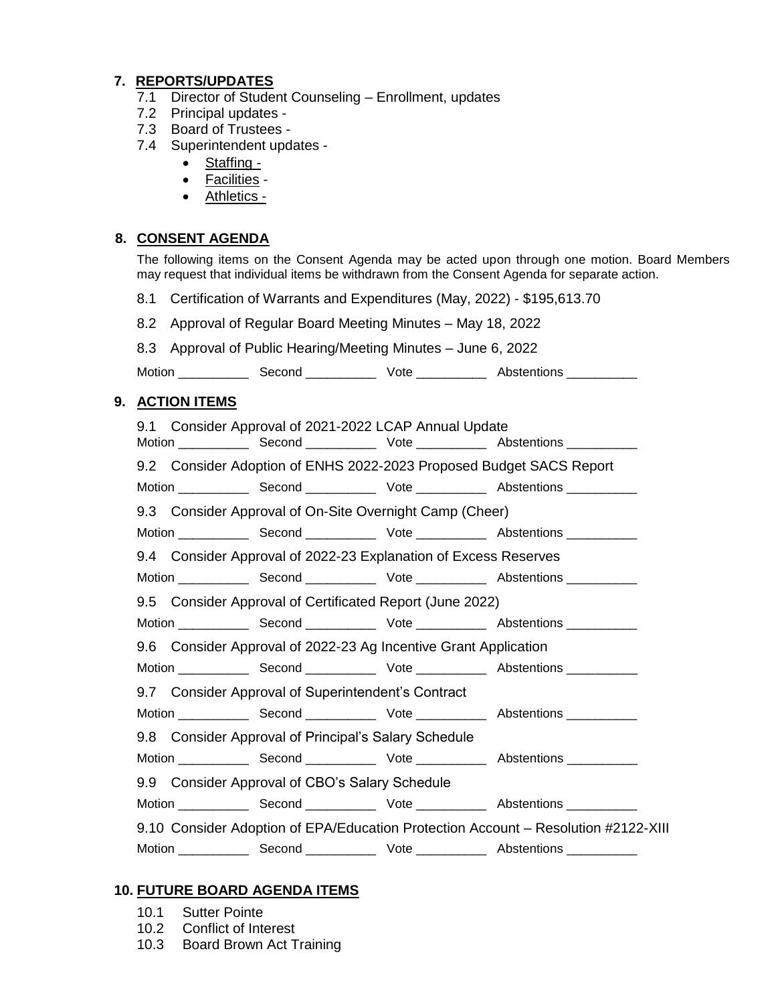# **7. REPORTS/UPDATES**

- 7.1 Director of Student Counseling Enrollment, updates
- 7.2 Principal updates -
- 7.3 Board of Trustees -
- 7.4 Superintendent updates
	- Staffing -
	- Facilities -
	- Athletics -

# **8. CONSENT AGENDA**

The following items on the Consent Agenda may be acted upon through one motion. Board Members may request that individual items be withdrawn from the Consent Agenda for separate action.

- 8.1 Certification of Warrants and Expenditures (May, 2022) \$195,613.70
- 8.2 Approval of Regular Board Meeting Minutes May 18, 2022

| 8.3 Approval of Public Hearing/Meeting Minutes - June 6, 2022 |  |
|---------------------------------------------------------------|--|
|                                                               |  |

Motion \_\_\_\_\_\_\_\_\_\_\_\_\_\_\_ Second \_\_\_\_\_\_\_\_\_\_\_\_\_\_\_ Vote \_\_\_\_\_\_\_\_\_\_\_\_\_\_\_ Abstentions \_\_\_\_\_\_\_\_\_\_\_\_

# **9. ACTION ITEMS**

|                                                                                    |                                                          |  | 9.1 Consider Approval of 2021-2022 LCAP Annual Update           |  |                                                                     |  |
|------------------------------------------------------------------------------------|----------------------------------------------------------|--|-----------------------------------------------------------------|--|---------------------------------------------------------------------|--|
|                                                                                    |                                                          |  |                                                                 |  | 9.2 Consider Adoption of ENHS 2022-2023 Proposed Budget SACS Report |  |
|                                                                                    |                                                          |  |                                                                 |  |                                                                     |  |
|                                                                                    |                                                          |  | 9.3 Consider Approval of On-Site Overnight Camp (Cheer)         |  |                                                                     |  |
|                                                                                    |                                                          |  |                                                                 |  |                                                                     |  |
|                                                                                    |                                                          |  | 9.4 Consider Approval of 2022-23 Explanation of Excess Reserves |  |                                                                     |  |
|                                                                                    |                                                          |  |                                                                 |  |                                                                     |  |
|                                                                                    | 9.5 Consider Approval of Certificated Report (June 2022) |  |                                                                 |  |                                                                     |  |
|                                                                                    |                                                          |  |                                                                 |  |                                                                     |  |
| 9.6 Consider Approval of 2022-23 Ag Incentive Grant Application                    |                                                          |  |                                                                 |  |                                                                     |  |
|                                                                                    |                                                          |  |                                                                 |  |                                                                     |  |
|                                                                                    | 9.7 Consider Approval of Superintendent's Contract       |  |                                                                 |  |                                                                     |  |
|                                                                                    |                                                          |  |                                                                 |  |                                                                     |  |
|                                                                                    |                                                          |  | 9.8 Consider Approval of Principal's Salary Schedule            |  |                                                                     |  |
|                                                                                    |                                                          |  |                                                                 |  |                                                                     |  |
|                                                                                    | 9.9 Consider Approval of CBO's Salary Schedule           |  |                                                                 |  |                                                                     |  |
|                                                                                    |                                                          |  |                                                                 |  |                                                                     |  |
| 9.10 Consider Adoption of EPA/Education Protection Account – Resolution #2122-XIII |                                                          |  |                                                                 |  |                                                                     |  |
|                                                                                    |                                                          |  |                                                                 |  |                                                                     |  |

## **10. FUTURE BOARD AGENDA ITEMS**

- 10.1 Sutter Pointe
- 10.2 Conflict of Interest
- 10.3 Board Brown Act Training